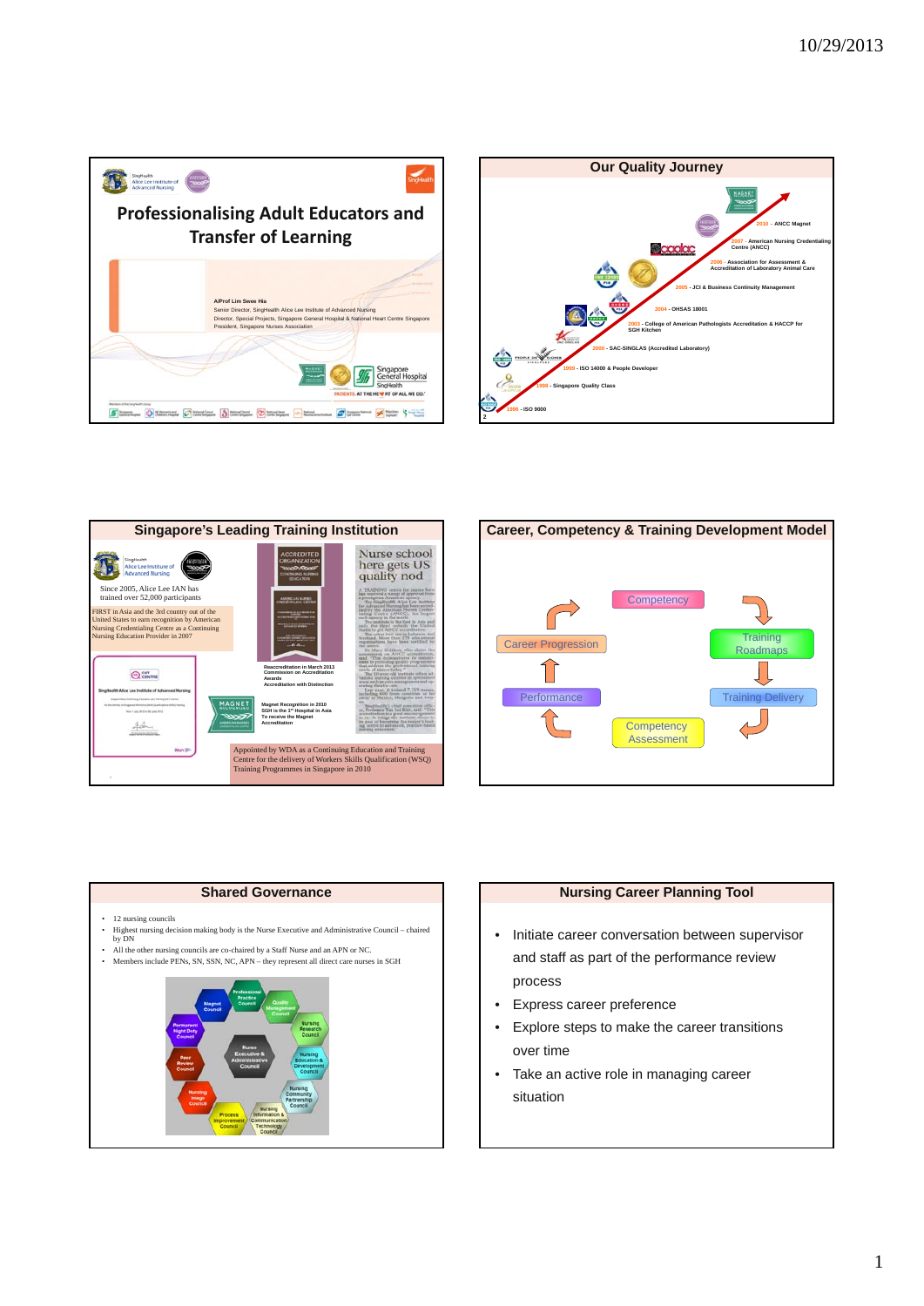







# • 12 nursing councils • Highest nursing decision making body is the Nurse Executive and Administrative Council – chaired by DN • All the other nursing councils are co-chaired by a Staff Nurse and an APN or NC. • Members include PENs, SN, SSN, NC, APN – they represent all direct care nurses in SGH

**Shared Governance**



# **Nursing Career Planning Tool**

- Initiate career conversation between supervisor and staff as part of the performance review process
- Express career preference
- Explore steps to make the career transitions over time
- Take an active role in managing career situation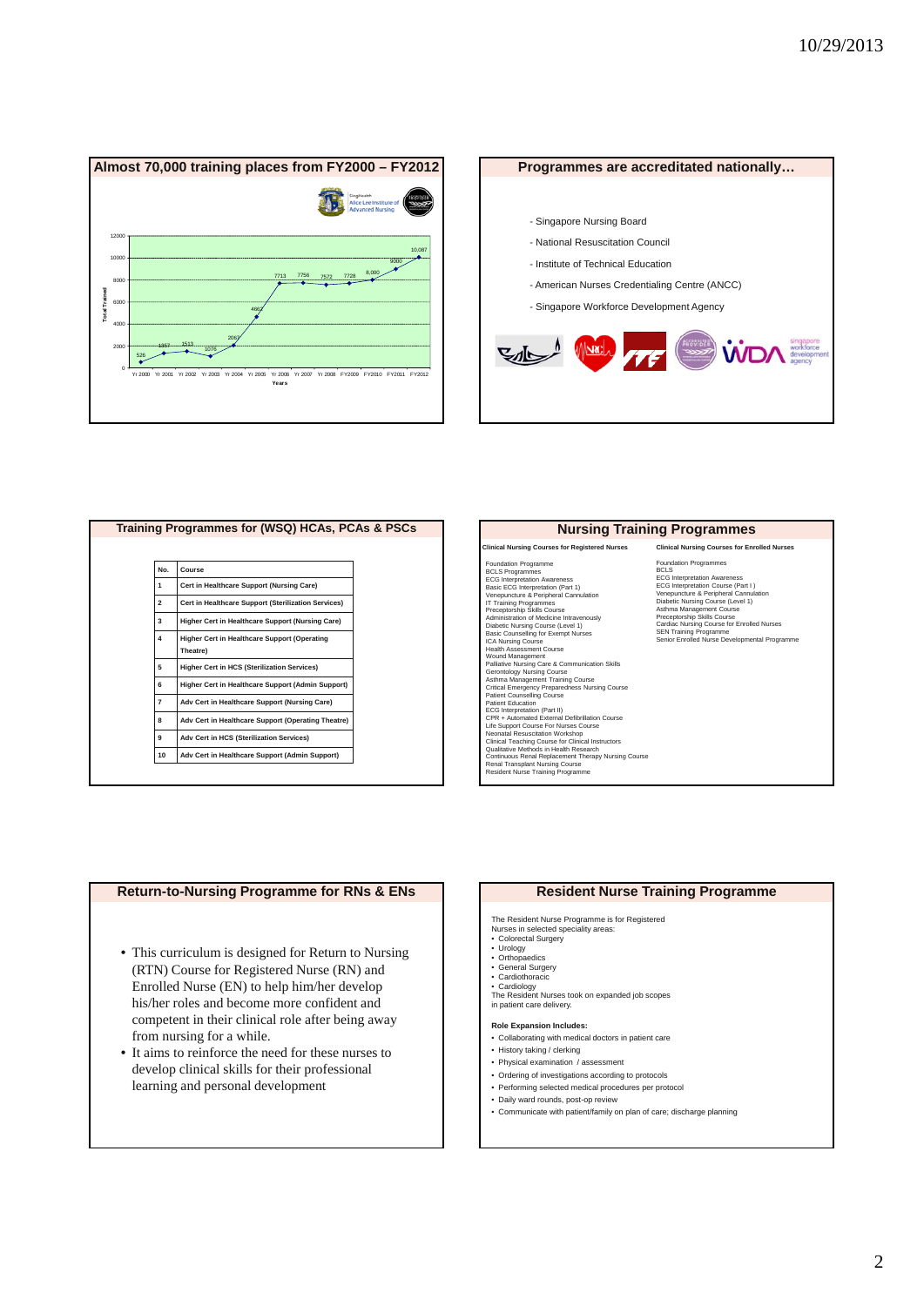



| Training Programmes for (WSQ) HCAs, PCAs & PSCs |                         |                                                                 |  |
|-------------------------------------------------|-------------------------|-----------------------------------------------------------------|--|
|                                                 |                         |                                                                 |  |
|                                                 | No.                     | Course                                                          |  |
|                                                 | 1                       | Cert in Healthcare Support (Nursing Care)                       |  |
|                                                 | $\overline{\mathbf{2}}$ | Cert in Healthcare Support (Sterilization Services)             |  |
|                                                 | 3                       | Higher Cert in Healthcare Support (Nursing Care)                |  |
|                                                 | 4                       | <b>Higher Cert in Healthcare Support (Operating</b><br>Theatre) |  |
|                                                 | 5                       | <b>Higher Cert in HCS (Sterilization Services)</b>              |  |
|                                                 | 6                       | Higher Cert in Healthcare Support (Admin Support)               |  |
|                                                 | 7                       | Adv Cert in Healthcare Support (Nursing Care)                   |  |
|                                                 | 8                       | Adv Cert in Healthcare Support (Operating Theatre)              |  |
|                                                 | 9                       | Adv Cert in HCS (Sterilization Services)                        |  |
|                                                 | 10                      | Adv Cert in Healthcare Support (Admin Support)                  |  |
|                                                 |                         |                                                                 |  |

#### **Nursing Training Programmes**

**Clinical Nursing Courses for Registered Nurses**

Foundation Programme<br>
Foundation Programmes<br>
EGCs Interpretation Awareness<br>
Basic EGG Interpretation (Part 1)<br>
Basic EGG Interpretation (Part 1)<br>
TI Training Programmes<br>
Administration of Medicine Intravenously<br>
Preceptors CPR + Automated External Defibriliation Course<br>Life Support Course For Nurses Course<br>Neonatal Resuscitation Workshop<br>Clinical Teaching Course for Clinical Instructors<br>Qualitative Methods in Health Research<br>Continuous Renal **Clinical Nursing Courses for Enrolled Nurses** 

Foundation Programmes **BCLS**<br>**ECG** Interpretation Aware ECG Interpretation Awareness ECG Interpretation Course (Part I ) Venepuncture & Peripheral Cannulation Diabetic Nursing Course (Level 1) Asthma Management Course Preceptorship Skills Course Cardiac Nursing Course for Enrolled Nurses SEN Training Programme Senior Enrolled Nurse Developmental Programme

#### **Return-to-Nursing Programme for RNs & ENs**

- This curriculum is designed for Return to Nursing (RTN) Course for Registered Nurse (RN) and Enrolled Nurse (EN) to help him/her develop his/her roles and become more confident and competent in their clinical role after being away from nursing for a while.
- It aims to reinforce the need for these nurses to develop clinical skills for their professional learning and personal development

#### **Resident Nurse Training Programme**

The Resident Nurse Programme is for Registered Nurses in selected speciality areas:

- Colorectal Surgery
- Urology Orthopaedics General Surgery Cardiothoracic
- 
- 
- Cardiology The Resident Nurses took on expanded job scopes in patient care delivery.
- 

#### **Role Expansion Includes:**

- Collaborating with medical doctors in patient care
- History taking / clerking
- Physical examination / assessment
- Ordering of investigations according to protocols
- Performing selected medical procedures per protocol
- Daily ward rounds, post-op review • Communicate with patient/family on plan of care; discharge planning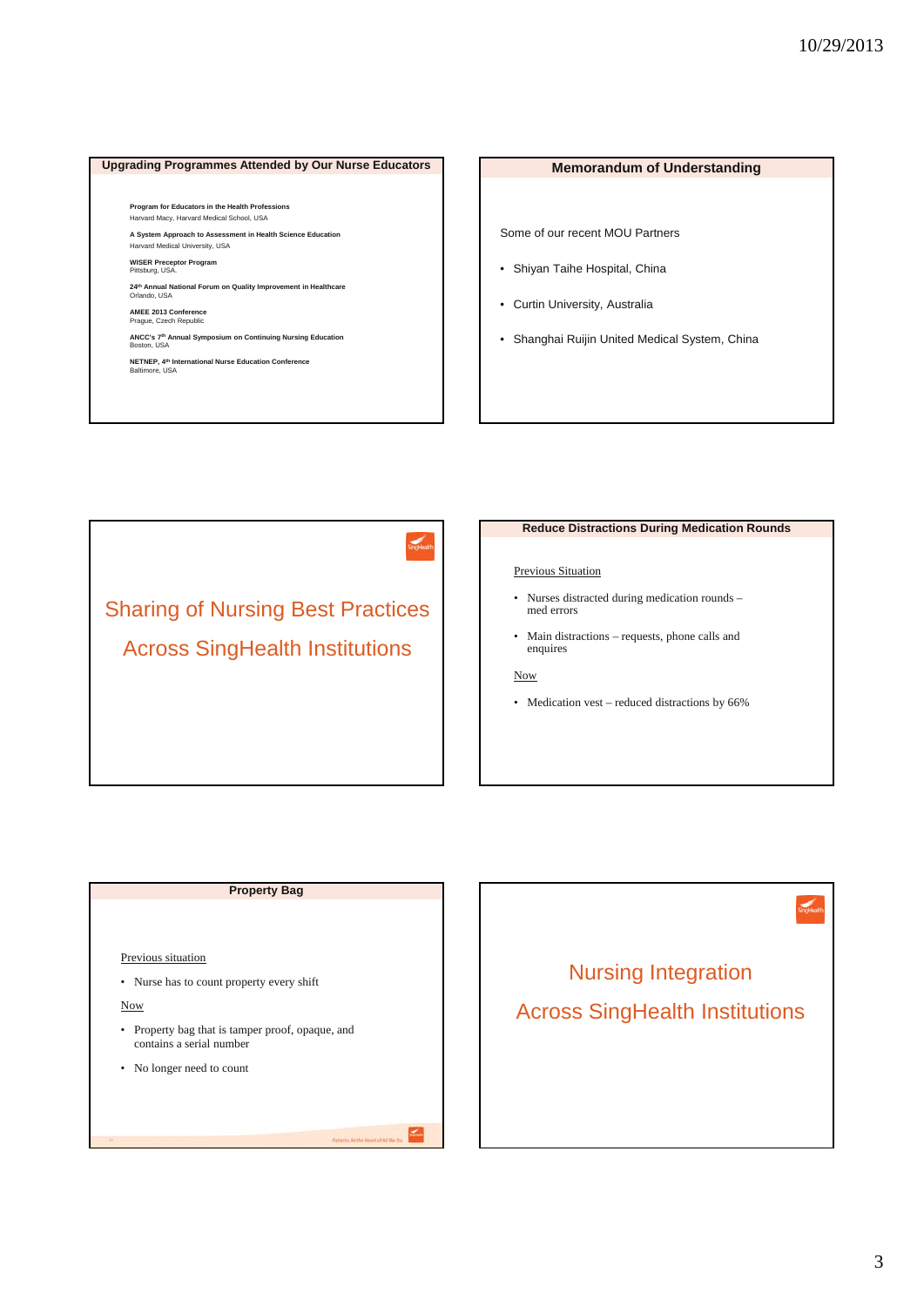# **Upgrading Programmes Attended by Our Nurse Educators Memorandum of Understanding**

**Program for Educators in the Health Professions**  Harvard Macy, Harvard Medical School, USA **A System Approach to Assessment in Health Science Education** 

Harvard Medical University, USA

**WISER Preceptor Program** Pittsburg, USA.

**24th Annual National Forum on Quality Improvement in Healthcare** Orlando, USA

**AMEE 2013 Conference** Prague, Czech Republic

**ANCC's 7<sup>th</sup> Annual Symposium on Continuing Nursing Education<br>Boston, USA** 

**NETNEP, 4th International Nurse Education Conference**  Baltimore, USA

Some of our recent MOU Partners

- Shiyan Taihe Hospital, China
- Curtin University, Australia
- Shanghai Ruijin United Medical System, China

Sharing of Nursing Best Practices Across SingHealth Institutions

#### **Reduce Distractions During Medication Rounds**

#### Previous Situation

- Nurses distracted during medication rounds med errors
- Main distractions requests, phone calls and enquires

#### Now

• Medication vest – reduced distractions by 66%

# **Property Bag**

#### Previous situation

• Nurse has to count property every shift

Now

- Property bag that is tamper proof, opaque, and contains a serial number
- No longer need to count